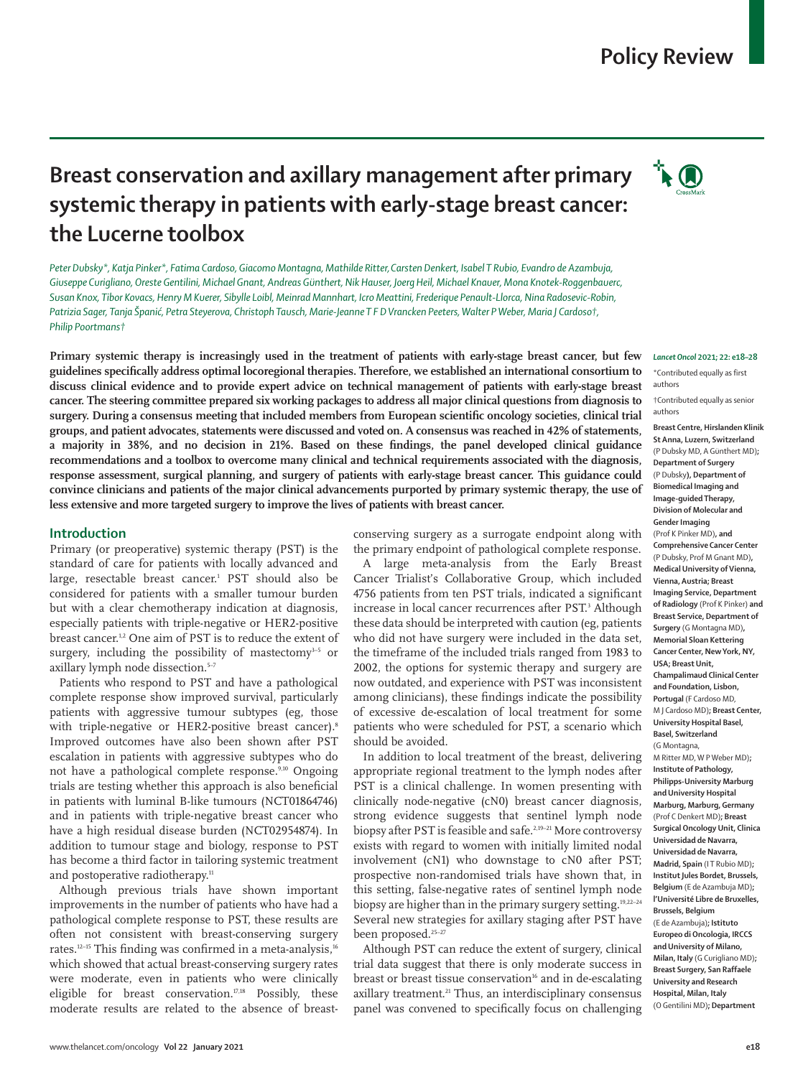# **Policy Review**

**TEO** 

# **Breast conservation and axillary management after primary systemic therapy in patients with early-stage breast cancer: the Lucerne toolbox**

*Peter Dubsky\*, Katja Pinker\*, Fatima Cardoso, Giacomo Montagna, Mathilde Ritter,Carsten Denkert, Isabel T Rubio, Evandro de Azambuja, Giuseppe Curigliano, Oreste Gentilini, Michael Gnant, Andreas Günthert, Nik Hauser, Joerg Heil, Michael Knauer, Mona Knotek-Roggenbauerc, Susan Knox, Tibor Kovacs, Henry M Kuerer, Sibylle Loibl, Meinrad Mannhart, Icro Meattini, Frederique Penault-Llorca, Nina Radosevic-Robin, Patrizia Sager, Tanja Španić, Petra Steyerova, Christoph Tausch, Marie-Jeanne T F D Vrancken Peeters, Walter P Weber, Maria J Cardoso†, Philip Poortmans†*

**Primary systemic therapy is increasingly used in the treatment of patients with early-stage breast cancer, but few guidelines specifically address optimal locoregional therapies. Therefore, we established an international consortium to discuss clinical evidence and to provide expert advice on technical management of patients with early-stage breast cancer. The steering committee prepared six working packages to address all major clinical questions from diagnosis to surgery. During a consensus meeting that included members from European scientific oncology societies, clinical trial groups, and patient advocates, statements were discussed and voted on. A consensus was reached in 42% of statements, a majority in 38%, and no decision in 21%. Based on these findings, the panel developed clinical guidance recommendations and a toolbox to overcome many clinical and technical requirements associated with the diagnosis, response assessment, surgical planning, and surgery of patients with early-stage breast cancer. This guidance could convince clinicians and patients of the major clinical advancements purported by primary systemic therapy, the use of less extensive and more targeted surgery to improve the lives of patients with breast cancer.**

## **Introduction**

Primary (or preoperative) systemic therapy (PST) is the standard of care for patients with locally advanced and large, resectable breast cancer.1 PST should also be considered for patients with a smaller tumour burden but with a clear chemotherapy indication at diagnosis, especially patients with triple-negative or HER2-positive breast cancer.<sup>1,2</sup> One aim of PST is to reduce the extent of surgery, including the possibility of mastectomy<sup>3-5</sup> or axillary lymph node dissection.<sup>5-7</sup>

Patients who respond to PST and have a pathological complete response show improved survival, particularly patients with aggressive tumour subtypes (eg, those with triple-negative or HER2-positive breast cancer).<sup>8</sup> Improved outcomes have also been shown after PST escalation in patients with aggressive subtypes who do not have a pathological complete response.<sup>9,10</sup> Ongoing trials are testing whether this approach is also beneficial in patients with luminal B-like tumours (NCT01864746) and in patients with triple-negative breast cancer who have a high residual disease burden (NCT02954874). In addition to tumour stage and biology, response to PST has become a third factor in tailoring systemic treatment and postoperative radiotherapy.<sup>11</sup>

Although previous trials have shown important improvements in the number of patients who have had a pathological complete response to PST, these results are often not consistent with breast-conserving surgery rates.<sup>12-15</sup> This finding was confirmed in a meta-analysis,<sup>16</sup> which showed that actual breast-conserving surgery rates were moderate, even in patients who were clinically eligible for breast conservation. $17,18$  Possibly, these moderate results are related to the absence of breastconserving surgery as a surrogate endpoint along with the primary endpoint of pathological complete response.

A large meta-analysis from the Early Breast Cancer Trialist's Collaborative Group, which included 4756 patients from ten PST trials, indicated a significant increase in local cancer recurrences after PST.<sup>3</sup> Although these data should be interpreted with caution (eg, patients who did not have surgery were included in the data set, the timeframe of the included trials ranged from 1983 to 2002, the options for systemic therapy and surgery are now outdated, and experience with PST was inconsistent among clinicians), these findings indicate the possibility of excessive de-escalation of local treatment for some patients who were scheduled for PST, a scenario which should be avoided.

In addition to local treatment of the breast, delivering appropriate regional treatment to the lymph nodes after PST is a clinical challenge. In women presenting with clinically node-negative (cN0) breast cancer diagnosis, strong evidence suggests that sentinel lymph node biopsy after PST is feasible and safe.<sup>2,19-21</sup> More controversy exists with regard to women with initially limited nodal involvement (cN1) who downstage to cN0 after PST; prospective non-randomised trials have shown that, in this setting, false-negative rates of sentinel lymph node biopsy are higher than in the primary surgery setting.19,22–24 Several new strategies for axillary staging after PST have been proposed.<sup>25-27</sup>

Although PST can reduce the extent of surgery, clinical trial data suggest that there is only moderate success in breast or breast tissue conservation<sup>16</sup> and in de-escalating axillary treatment.<sup>21</sup> Thus, an interdisciplinary consensus panel was convened to specifically focus on challenging

#### *Lancet Oncol* **2021; 22: e18–28**

\*Contributed equally as first authors

†Contributed equally as senior authors

**Breast Centre, Hirslanden Klinik St Anna, Luzern, Switzerland** (P Dubsky MD, A Günthert MD)**; Department of Surgery**  (P Dubsky**), Department of Biomedical Imaging and Image-guided Therapy, Division of Molecular and Gender Imaging**  (Prof K Pinker MD)**, and**

**Comprehensive Cancer Center**  (P Dubsky, Prof M Gnant MD)**, Medical University of Vienna, Vienna, Austria; Breast Imaging Service, Department of Radiology** (Prof K Pinker) **and Breast Service, Department of Surgery** (G Montagna MD)**, Memorial Sloan Kettering Cancer Center, New York, NY, USA; Breast Unit, Champalimaud Clinical Center and Foundation, Lisbon, Portugal** (F Cardoso MD, M J Cardoso MD)**; Breast Center, University Hospital Basel, Basel, Switzerland**

(G Montagna, M Ritter MD, W P Weber MD)**; Institute of Pathology, Philipps-University Marburg and University Hospital Marburg, Marburg, Germany** (Prof C Denkert MD)**; Breast Surgical Oncology Unit, Clinica Universidad de Navarra, Universidad de Navarra, Madrid, Spain** (IT Rubio MD); **Institut Jules Bordet, Brussels, Belgium** (E de Azambuja MD)**; l'Université Libre de Bruxelles, Brussels, Belgium** (E de Azambuja)**; Istituto Europeo di Oncologia, IRCCS and University of Milano, Milan, Italy** (G Curigliano MD)**; Breast Surgery, San Raffaele University and Research Hospital, Milan, Italy** (O Gentilini MD)**; Department**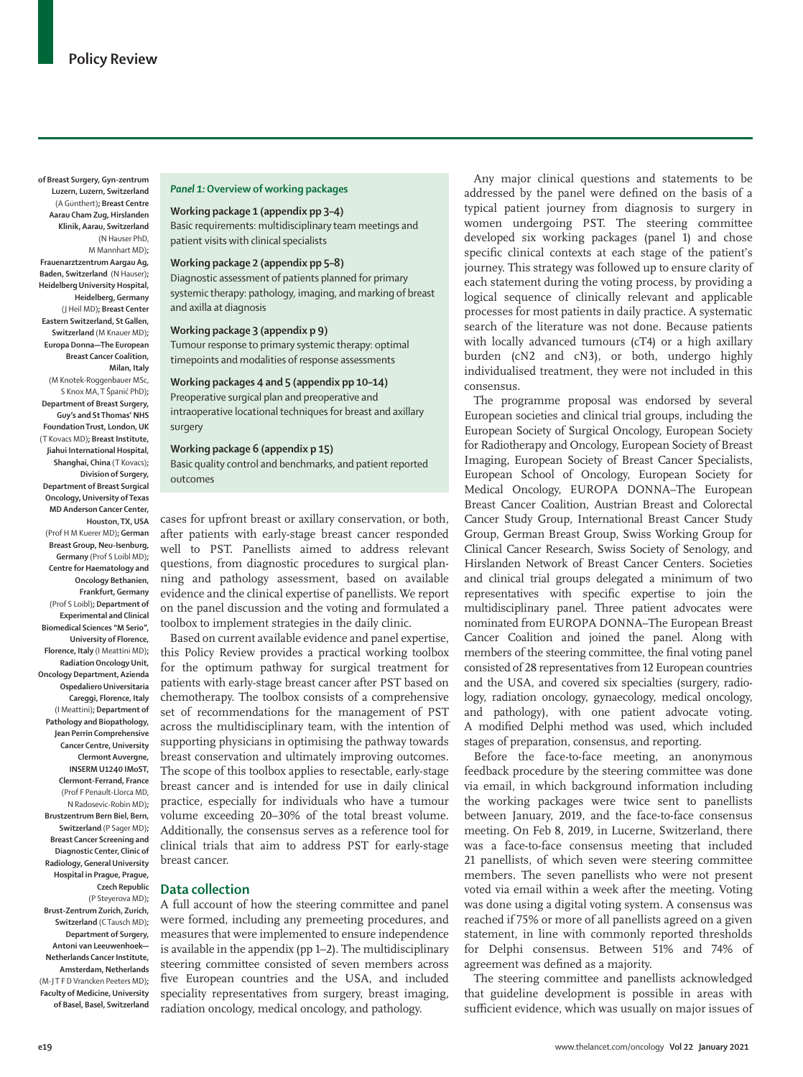**of Breast Surgery, Gyn-zentrum Luzern, Luzern, Switzerland**  (A Günthert)**; Breast Centre Aarau Cham Zug, Hirslanden Klinik, Aarau, Switzerland** (N Hauser PhD, M Mannhart MD)**; Frauenarztzentrum Aargau Ag, Baden, Switzerland** (N Hauser)**; Heidelberg University Hospital, Heidelberg, Germany** (J Heil MD)**; Breast Center Eastern Switzerland, St Gallen, Switzerland** (M Knauer MD)**; Europa Donna—The European Breast Cancer Coalition, Milan, Italy** (M Knotek-Roggenbauer MSc, S Knox MA, T Španić PhD)**; Department of Breast Surgery, Guy's and St Thomas' NHS Foundation Trust, London, UK** (T Kovacs MD)**; Breast Institute, Jiahui International Hospital, Shanghai, China** (T Kovacs)**; Division of Surgery, Department of Breast Surgical Oncology, University of Texas MD Anderson Cancer Center, Houston, TX, USA** (Prof H M Kuerer MD)**; German Breast Group, Neu-Isenburg,** 

**Germany** (Prof S Loibl MD)**; Centre for Haematology and Oncology Bethanien, Frankfurt, Germany** (Prof S Loibl)**; Department of Experimental and Clinical Biomedical Sciences "M Serio", University of Florence, Florence, Italy** (I Meattini MD)**; Radiation Oncology Unit, Oncology Department, Azienda Ospedaliero Universitaria Careggi, Florence, Italy**  (I Meattini)**; Department of Pathology and Biopathology, Jean Perrin Comprehensive Cancer Centre, University Clermont Auvergne, INSERM U1240 IMoST, Clermont-Ferrand, France** (Prof F Penault-Llorca MD, N Radosevic-Robin MD)**; Brustzentrum Bern Biel, Bern, Switzerland** (P Sager MD)**; Breast Cancer Screening and Diagnostic Center, Clinic of Radiology, General University Hospital in Prague, Prague, Czech Republic** (P Steyerova MD)**; Brust-Zentrum Zurich, Zurich, Switzerland** (C Tausch MD)**; Department of Surgery, Antoni van Leeuwenhoek— Netherlands Cancer Institute,** 

**Amsterdam, Netherlands** (M-J T F D Vrancken Peeters MD)**; Faculty of Medicine, University of Basel, Basel, Switzerland**

#### *Panel 1:* **Overview of working packages**

## **Working package 1 (appendix pp 3–4)**

Basic requirements: multidisciplinary team meetings and patient visits with clinical specialists

# **Working package 2 (appendix pp 5–8)**

Diagnostic assessment of patients planned for primary systemic therapy: pathology, imaging, and marking of breast and axilla at diagnosis

**Working package 3 (appendix p 9)**

Tumour response to primary systemic therapy: optimal timepoints and modalities of response assessments

## **Working packages 4 and 5 (appendix pp 10–14)**

Preoperative surgical plan and preoperative and intraoperative locational techniques for breast and axillary surgery

## **Working package 6 (appendix p 15)**

Basic quality control and benchmarks, and patient reported outcomes

cases for upfront breast or axillary conservation, or both, after patients with early-stage breast cancer responded well to PST. Panellists aimed to address relevant questions, from diagnostic procedures to surgical planning and pathology assessment, based on available evidence and the clinical expertise of panellists. We report on the panel discussion and the voting and formulated a toolbox to implement strategies in the daily clinic.

Based on current available evidence and panel expertise, this Policy Review provides a practical working toolbox for the optimum pathway for surgical treatment for patients with early-stage breast cancer after PST based on chemotherapy. The toolbox consists of a comprehensive set of recommendations for the management of PST across the multidisciplinary team, with the intention of supporting physicians in optimising the pathway towards breast conservation and ultimately improving outcomes. The scope of this toolbox applies to resectable, early-stage breast cancer and is intended for use in daily clinical practice, especially for individuals who have a tumour volume exceeding 20–30% of the total breast volume. Additionally, the consensus serves as a reference tool for clinical trials that aim to address PST for early-stage breast cancer.

### **Data collection**

A full account of how the steering committee and panel were formed, including any premeeting procedures, and measures that were implemented to ensure independence is available in the appendix (pp 1–2). The multidisciplinary steering committee consisted of seven members across five European countries and the USA, and included speciality representatives from surgery, breast imaging, radiation oncology, medical oncology, and pathology.

Any major clinical questions and statements to be addressed by the panel were defined on the basis of a typical patient journey from diagnosis to surgery in women undergoing PST. The steering committee developed six working packages (panel 1) and chose specific clinical contexts at each stage of the patient's journey. This strategy was followed up to ensure clarity of each statement during the voting process, by providing a logical sequence of clinically relevant and applicable processes for most patients in daily practice. A systematic search of the literature was not done. Because patients with locally advanced tumours (cT4) or a high axillary burden (cN2 and cN3), or both, undergo highly individualised treatment, they were not included in this consensus.

The programme proposal was endorsed by several European societies and clinical trial groups, including the European Society of Surgical Oncology, European Society for Radiotherapy and Oncology, European Society of Breast Imaging, European Society of Breast Cancer Specialists, European School of Oncology, European Society for Medical Oncology, EUROPA DONNA–The European Breast Cancer Coalition, Austrian Breast and Colorectal Cancer Study Group, International Breast Cancer Study Group, German Breast Group, Swiss Working Group for Clinical Cancer Research, Swiss Society of Senology, and Hirslanden Network of Breast Cancer Centers. Societies and clinical trial groups delegated a minimum of two representatives with specific expertise to join the multidisciplinary panel. Three patient advocates were nominated from EUROPA DONNA–The European Breast Cancer Coalition and joined the panel. Along with members of the steering committee, the final voting panel consisted of 28 representatives from 12 European countries and the USA, and covered six specialties (surgery, radiology, radiation oncology, gynaecology, medical oncology, and pathology), with one patient advocate voting. A modified Delphi method was used, which included stages of preparation, consensus, and reporting.

Before the face-to-face meeting, an anonymous feedback procedure by the steering committee was done via email, in which background information including the working packages were twice sent to panellists between January, 2019, and the face-to-face consensus meeting. On Feb 8, 2019, in Lucerne, Switzerland, there was a face-to-face consensus meeting that included 21 panellists, of which seven were steering committee members. The seven panellists who were not present voted via email within a week after the meeting. Voting was done using a digital voting system. A consensus was reached if 75% or more of all panellists agreed on a given statement, in line with commonly reported thresholds for Delphi consensus. Between 51% and 74% of agreement was defined as a majority.

The steering committee and panellists acknowledged that guideline development is possible in areas with sufficient evidence, which was usually on major issues of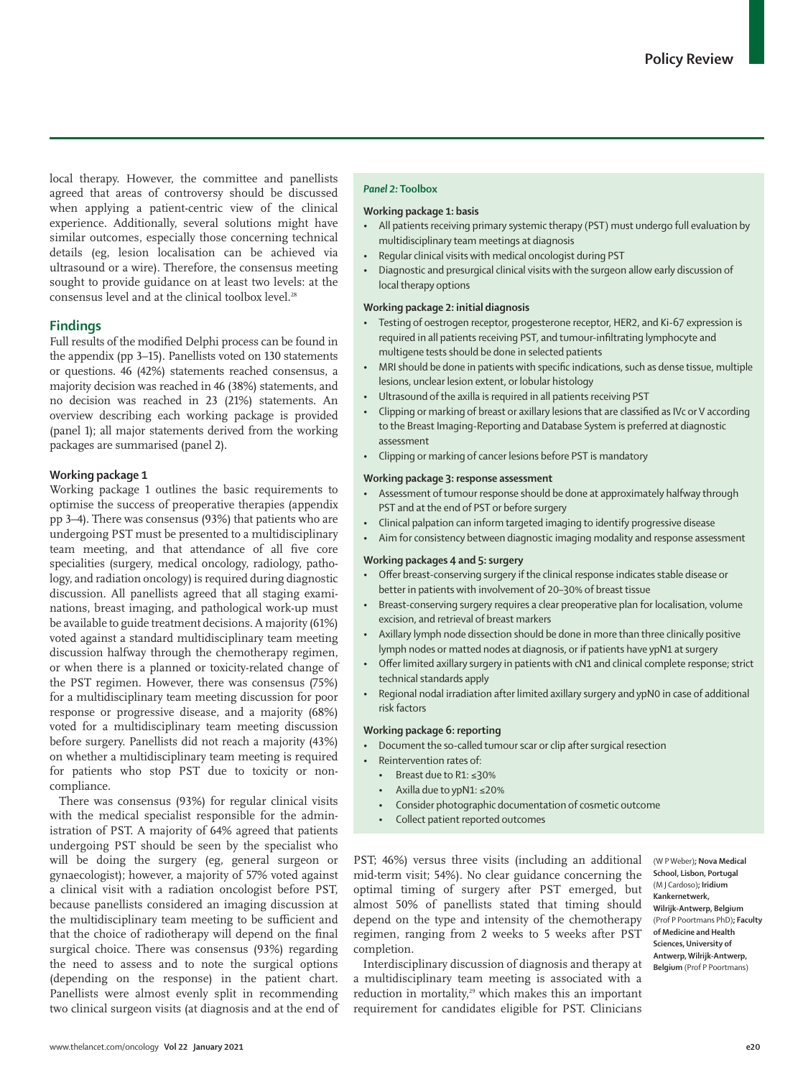local therapy. However, the committee and panellists agreed that areas of controversy should be discussed when applying a patient-centric view of the clinical experience. Additionally, several solutions might have similar outcomes, especially those concerning technical details (eg, lesion localisation can be achieved via ultrasound or a wire). Therefore, the consensus meeting sought to provide guidance on at least two levels: at the consensus level and at the clinical toolbox level.<sup>28</sup>

## **Findings**

Full results of the modified Delphi process can be found in the appendix (pp 3–15). Panellists voted on 130 statements or questions. 46 (42%) statements reached consensus, a majority decision was reached in 46 (38%) statements, and no decision was reached in 23 (21%) statements. An overview describing each working package is provided (panel 1); all major statements derived from the working packages are summarised (panel 2).

## **Working package 1**

Working package 1 outlines the basic requirements to optimise the success of preoperative therapies (appendix pp 3–4). There was consensus (93%) that patients who are undergoing PST must be presented to a multidisciplinary team meeting, and that attendance of all five core specialities (surgery, medical oncology, radiology, pathology, and radiation oncology) is required during diagnostic discussion. All panellists agreed that all staging examinations, breast imaging, and pathological work-up must be available to guide treatment decisions. A majority (61%) voted against a standard multidisciplinary team meeting discussion halfway through the chemotherapy regimen, or when there is a planned or toxicity-related change of the PST regimen. However, there was consensus (75%) for a multidisciplinary team meeting discussion for poor response or progressive disease, and a majority (68%) voted for a multidisciplinary team meeting discussion before surgery. Panellists did not reach a majority (43%) on whether a multidisciplinary team meeting is required for patients who stop PST due to toxicity or noncompliance.

There was consensus (93%) for regular clinical visits with the medical specialist responsible for the administration of PST. A majority of 64% agreed that patients undergoing PST should be seen by the specialist who will be doing the surgery (eg, general surgeon or gynaecologist); however, a majority of 57% voted against a clinical visit with a radiation oncologist before PST, because panellists considered an imaging discussion at the multidisciplinary team meeting to be sufficient and that the choice of radiotherapy will depend on the final surgical choice. There was consensus (93%) regarding the need to assess and to note the surgical options (depending on the response) in the patient chart. Panellists were almost evenly split in recommending two clinical surgeon visits (at diagnosis and at the end of

#### *Panel 2:* **Toolbox**

## **Working package 1: basis**

- All patients receiving primary systemic therapy (PST) must undergo full evaluation by multidisciplinary team meetings at diagnosis
- Regular clinical visits with medical oncologist during PST
- Diagnostic and presurgical clinical visits with the surgeon allow early discussion of local therapy options

#### **Working package 2: initial diagnosis**

- Testing of oestrogen receptor, progesterone receptor, HER2, and Ki-67 expression is required in all patients receiving PST, and tumour-infiltrating lymphocyte and multigene tests should be done in selected patients
- MRI should be done in patients with specific indications, such as dense tissue, multiple lesions, unclear lesion extent, or lobular histology
- Ultrasound of the axilla is required in all patients receiving PST
- Clipping or marking of breast or axillary lesions that are classified as IVc or V according to the Breast Imaging-Reporting and Database System is preferred at diagnostic assessment
- Clipping or marking of cancer lesions before PST is mandatory

#### **Working package 3: response assessment**

- Assessment of tumour response should be done at approximately halfway through PST and at the end of PST or before surgery
- Clinical palpation can inform targeted imaging to identify progressive disease
- Aim for consistency between diagnostic imaging modality and response assessment

## **Working packages 4 and 5: surgery**

- Offer breast-conserving surgery if the clinical response indicates stable disease or better in patients with involvement of 20–30% of breast tissue
- Breast-conserving surgery requires a clear preoperative plan for localisation, volume excision, and retrieval of breast markers
- Axillary lymph node dissection should be done in more than three clinically positive lymph nodes or matted nodes at diagnosis, or if patients have ypN1 at surgery
- Offer limited axillary surgery in patients with cN1 and clinical complete response; strict technical standards apply
- Regional nodal irradiation after limited axillary surgery and ypN0 in case of additional risk factors

#### **Working package 6: reporting**

- Document the so-called tumour scar or clip after surgical resection
	- Reintervention rates of:
	- Breast due to R1: ≤30%
	- Axilla due to ypN1: ≤20%
	- Consider photographic documentation of cosmetic outcome
	- Collect patient reported outcomes

PST; 46%) versus three visits (including an additional mid-term visit; 54%). No clear guidance concerning the optimal timing of surgery after PST emerged, but almost 50% of panellists stated that timing should depend on the type and intensity of the chemotherapy regimen, ranging from 2 weeks to 5 weeks after PST completion.

**School, Lisbon, Portugal** (M J Cardoso)**; Iridium Kankernetwerk, Wilrijk-Antwerp, Belgium** (Prof P Poortmans PhD)**; Faculty of Medicine and Health Sciences, University of Antwerp, Wilrijk-Antwerp, Belgium** (Prof P Poortmans)

(W P Weber)**; Nova Medical** 

Interdisciplinary discussion of diagnosis and therapy at a multidisciplinary team meeting is associated with a reduction in mortality,<sup>29</sup> which makes this an important requirement for candidates eligible for PST. Clinicians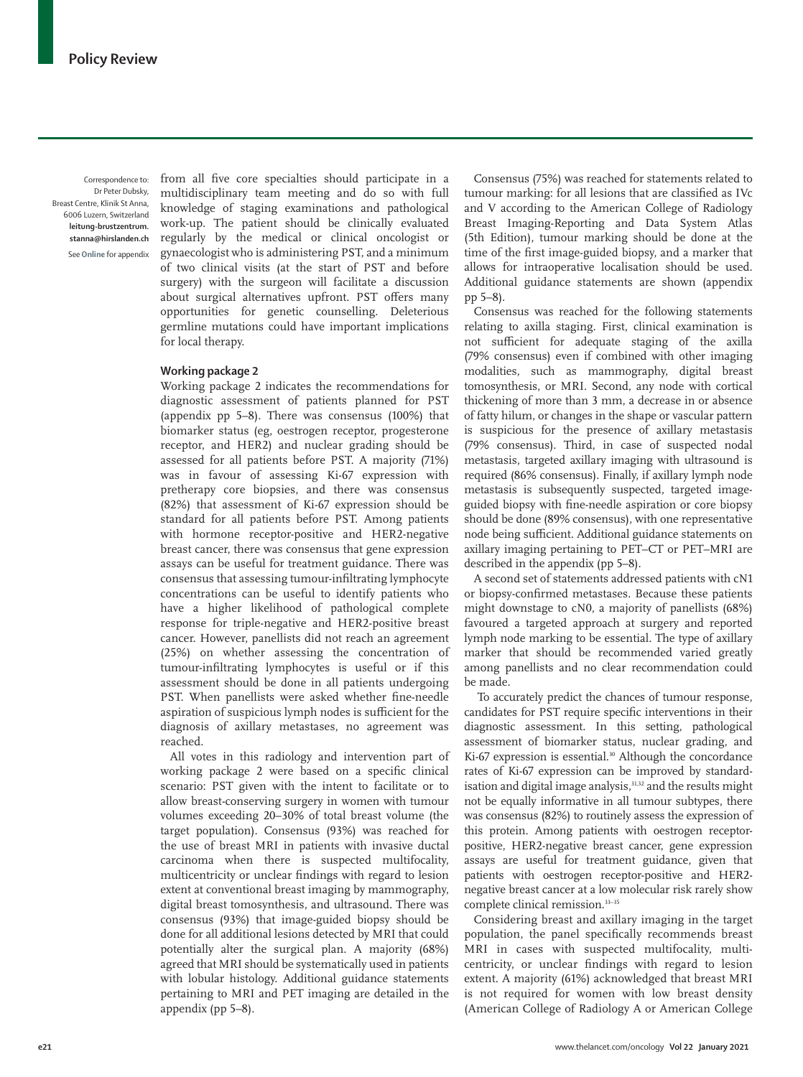Correspondence to: Dr Peter Dubsky, Breast Centre, Klinik St Anna, 6006 Luzern, Switzerland **leitung-brustzentrum. stanna@hirslanden.ch** See **Online** for appendix

from all five core specialties should participate in a multidisciplinary team meeting and do so with full knowledge of staging examinations and pathological work-up. The patient should be clinically evaluated regularly by the medical or clinical oncologist or gynaecologist who is administering PST, and a minimum of two clinical visits (at the start of PST and before surgery) with the surgeon will facilitate a discussion about surgical alternatives upfront. PST offers many opportunities for genetic counselling. Deleterious germline mutations could have important implications for local therapy.

## **Working package 2**

Working package 2 indicates the recommendations for diagnostic assessment of patients planned for PST (appendix pp 5–8). There was consensus (100%) that biomarker status (eg, oestrogen receptor, progesterone receptor, and HER2) and nuclear grading should be assessed for all patients before PST. A majority (71%) was in favour of assessing Ki-67 expression with pretherapy core biopsies, and there was consensus (82%) that assessment of Ki-67 expression should be standard for all patients before PST. Among patients with hormone receptor-positive and HER2-negative breast cancer, there was consensus that gene expression assays can be useful for treatment guidance. There was consensus that assessing tumour-infiltrating lymphocyte concentrations can be useful to identify patients who have a higher likelihood of pathological complete response for triple-negative and HER2-positive breast cancer. However, panellists did not reach an agreement (25%) on whether assessing the concentration of tumour-infiltrating lymphocytes is useful or if this assessment should be done in all patients undergoing PST. When panellists were asked whether fine-needle aspiration of suspicious lymph nodes is sufficient for the diagnosis of axillary metastases, no agreement was reached.

All votes in this radiology and intervention part of working package 2 were based on a specific clinical scenario: PST given with the intent to facilitate or to allow breast-conserving surgery in women with tumour volumes exceeding 20–30% of total breast volume (the target population). Consensus (93%) was reached for the use of breast MRI in patients with invasive ductal carcinoma when there is suspected multifocality, multicentricity or unclear findings with regard to lesion extent at conventional breast imaging by mammography, digital breast tomosynthesis, and ultrasound. There was consensus (93%) that image-guided biopsy should be done for all additional lesions detected by MRI that could potentially alter the surgical plan. A majority (68%) agreed that MRI should be systematically used in patients with lobular histology. Additional guidance statements pertaining to MRI and PET imaging are detailed in the appendix (pp 5–8).

Consensus (75%) was reached for statements related to tumour marking: for all lesions that are classified as IVc and V according to the American College of Radiology Breast Imaging-Reporting and Data System Atlas (5th Edition), tumour marking should be done at the time of the first image-guided biopsy, and a marker that allows for intraoperative localisation should be used. Additional guidance statements are shown (appendix pp 5–8).

Consensus was reached for the following statements relating to axilla staging. First, clinical examination is not sufficient for adequate staging of the axilla (79% consensus) even if combined with other imaging modalities, such as mammography, digital breast tomosynthesis, or MRI. Second, any node with cortical thickening of more than 3 mm, a decrease in or absence of fatty hilum, or changes in the shape or vascular pattern is suspicious for the presence of axillary metastasis (79% consensus). Third, in case of suspected nodal metastasis, targeted axillary imaging with ultrasound is required (86% consensus). Finally, if axillary lymph node metastasis is subsequently suspected, targeted imageguided biopsy with fine-needle aspiration or core biopsy should be done (89% consensus), with one representative node being sufficient. Additional guidance statements on axillary imaging pertaining to PET–CT or PET–MRI are described in the appendix (pp 5–8).

A second set of statements addressed patients with cN1 or biopsy-confirmed metastases. Because these patients might downstage to cN0, a majority of panellists (68%) favoured a targeted approach at surgery and reported lymph node marking to be essential. The type of axillary marker that should be recommended varied greatly among panellists and no clear recommendation could be made.

 To accurately predict the chances of tumour response, candidates for PST require specific interventions in their diagnostic assessment. In this setting, pathological assessment of biomarker status, nuclear grading, and Ki-67 expression is essential.<sup>30</sup> Although the concordance rates of Ki-67 expression can be improved by standardisation and digital image analysis,<sup>31,32</sup> and the results might not be equally informative in all tumour subtypes, there was consensus (82%) to routinely assess the expression of this protein. Among patients with oestrogen receptorpositive, HER2-negative breast cancer, gene expression assays are useful for treatment guidance, given that patients with oestrogen receptor-positive and HER2 negative breast cancer at a low molecular risk rarely show complete clinical remission.33–35

Considering breast and axillary imaging in the target population, the panel specifically recommends breast MRI in cases with suspected multifocality, multicentricity, or unclear findings with regard to lesion extent. A majority (61%) acknowledged that breast MRI is not required for women with low breast density (American College of Radiology A or American College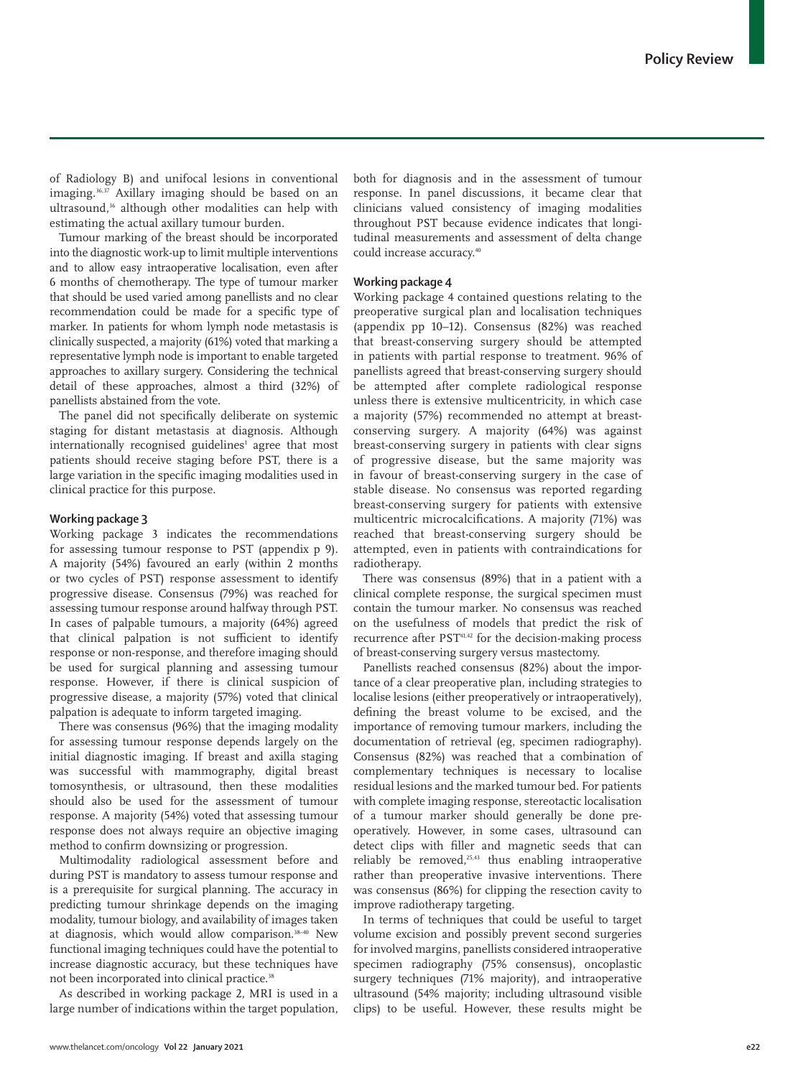of Radiology B) and unifocal lesions in conventional imaging.<sup>36,37</sup> Axillary imaging should be based on an ultrasound,<sup>36</sup> although other modalities can help with estimating the actual axillary tumour burden.

Tumour marking of the breast should be incorporated into the diagnostic work-up to limit multiple interventions and to allow easy intraoperative localisation, even after 6 months of chemotherapy. The type of tumour marker that should be used varied among panellists and no clear recommendation could be made for a specific type of marker. In patients for whom lymph node metastasis is clinically suspected, a majority (61%) voted that marking a representative lymph node is important to enable targeted approaches to axillary surgery. Considering the technical detail of these approaches, almost a third (32%) of panellists abstained from the vote.

The panel did not specifically deliberate on systemic staging for distant metastasis at diagnosis. Although internationally recognised guidelines<sup>1</sup> agree that most patients should receive staging before PST, there is a large variation in the specific imaging modalities used in clinical practice for this purpose.

#### **Working package 3**

Working package 3 indicates the recommendations for assessing tumour response to PST (appendix p 9). A majority (54%) favoured an early (within 2 months or two cycles of PST) response assessment to identify progressive disease. Consensus (79%) was reached for assessing tumour response around halfway through PST. In cases of palpable tumours, a majority (64%) agreed that clinical palpation is not sufficient to identify response or non-response, and therefore imaging should be used for surgical planning and assessing tumour response. However, if there is clinical suspicion of progressive disease, a majority (57%) voted that clinical palpation is adequate to inform targeted imaging.

There was consensus (96%) that the imaging modality for assessing tumour response depends largely on the initial diagnostic imaging. If breast and axilla staging was successful with mammography, digital breast tomosynthesis, or ultrasound, then these modalities should also be used for the assessment of tumour response. A majority (54%) voted that assessing tumour response does not always require an objective imaging method to confirm downsizing or progression.

Multimodality radiological assessment before and during PST is mandatory to assess tumour response and is a prerequisite for surgical planning. The accuracy in predicting tumour shrinkage depends on the imaging modality, tumour biology, and availability of images taken at diagnosis, which would allow comparison.38–40 New functional imaging techniques could have the potential to increase diagnostic accuracy, but these techniques have not been incorporated into clinical practice.<sup>38</sup>

As described in working package 2, MRI is used in a large number of indications within the target population, both for diagnosis and in the assessment of tumour response. In panel discussions, it became clear that clinicians valued consistency of imaging modalities throughout PST because evidence indicates that longitudinal measurements and assessment of delta change could increase accuracy.40

## **Working package 4**

Working package 4 contained questions relating to the preoperative surgical plan and localisation techniques (appendix pp 10–12). Consensus (82%) was reached that breast-conserving surgery should be attempted in patients with partial response to treatment. 96% of panellists agreed that breast-conserving surgery should be attempted after complete radiological response unless there is extensive multicentricity, in which case a majority (57%) recommended no attempt at breastconserving surgery. A majority (64%) was against breast-conserving surgery in patients with clear signs of progressive disease, but the same majority was in favour of breast-conserving surgery in the case of stable disease. No consensus was reported regarding breast-conserving surgery for patients with extensive multicentric microcalcifications. A majority (71%) was reached that breast-conserving surgery should be attempted, even in patients with contraindications for radiotherapy.

There was consensus (89%) that in a patient with a clinical complete response, the surgical specimen must contain the tumour marker. No consensus was reached on the usefulness of models that predict the risk of recurrence after PST<sup>41,42</sup> for the decision-making process of breast-conserving surgery versus mastectomy.

Panellists reached consensus (82%) about the importance of a clear preoperative plan, including strategies to localise lesions (either preoperatively or intraoperatively), defining the breast volume to be excised, and the importance of removing tumour markers, including the documentation of retrieval (eg, specimen radiography). Consensus (82%) was reached that a combination of complementary techniques is necessary to localise residual lesions and the marked tumour bed. For patients with complete imaging response, stereotactic localisation of a tumour marker should generally be done preoperatively. However, in some cases, ultrasound can detect clips with filler and magnetic seeds that can reliably be removed, $25,43$  thus enabling intraoperative rather than preoperative invasive interventions. There was consensus (86%) for clipping the resection cavity to improve radiotherapy targeting.

In terms of techniques that could be useful to target volume excision and possibly prevent second surgeries for involved margins, panellists considered intraoperative specimen radiography (75% consensus), oncoplastic surgery techniques (71% majority), and intraoperative ultrasound (54% majority; including ultrasound visible clips) to be useful. However, these results might be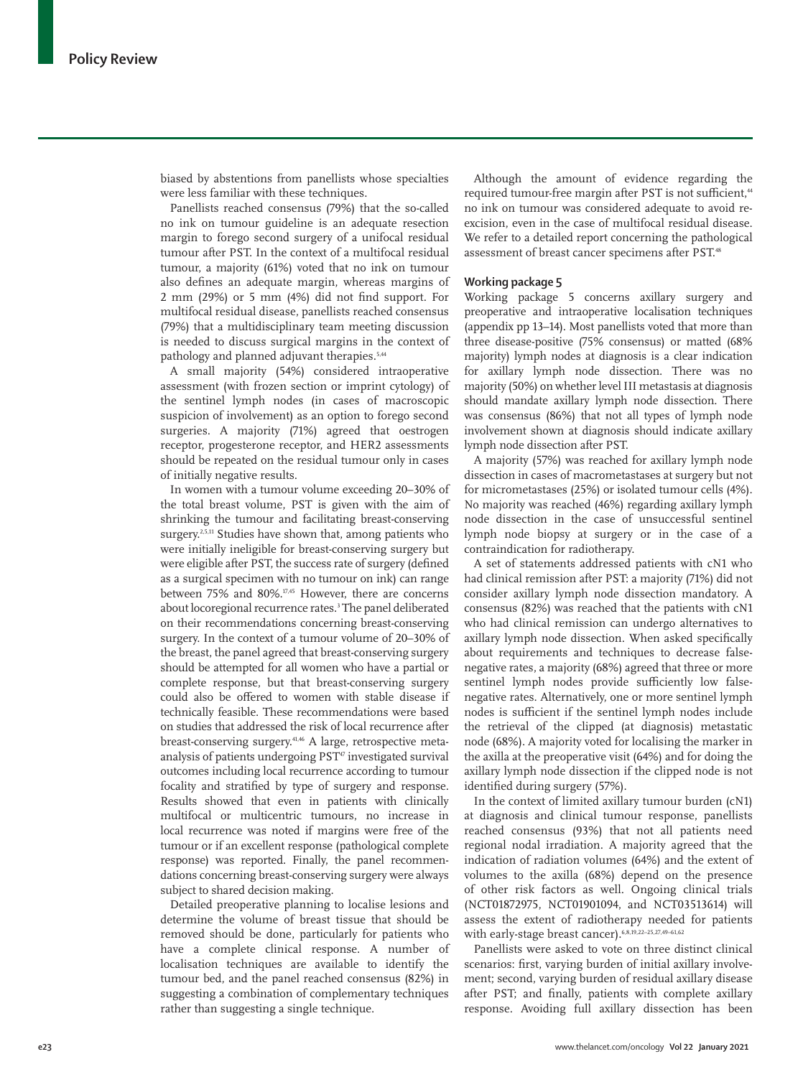biased by abstentions from panellists whose specialties were less familiar with these techniques.

Panellists reached consensus (79%) that the so-called no ink on tumour guideline is an adequate resection margin to forego second surgery of a unifocal residual tumour after PST. In the context of a multifocal residual tumour, a majority (61%) voted that no ink on tumour also defines an adequate margin, whereas margins of 2 mm (29%) or 5 mm (4%) did not find support. For multifocal residual disease, panellists reached consensus (79%) that a multidisciplinary team meeting discussion is needed to discuss surgical margins in the context of pathology and planned adjuvant therapies.<sup>5,44</sup>

A small majority (54%) considered intraoperative assessment (with frozen section or imprint cytology) of the sentinel lymph nodes (in cases of macroscopic suspicion of involvement) as an option to forego second surgeries. A majority (71%) agreed that oestrogen receptor, progesterone receptor, and HER2 assessments should be repeated on the residual tumour only in cases of initially negative results.

In women with a tumour volume exceeding 20–30% of the total breast volume, PST is given with the aim of shrinking the tumour and facilitating breast-conserving surgery.<sup>2,5,11</sup> Studies have shown that, among patients who were initially ineligible for breast-conserving surgery but were eligible after PST, the success rate of surgery (defined as a surgical specimen with no tumour on ink) can range between 75% and 80%.17,45 However, there are concerns about locoregional recurrence rates.<sup>3</sup> The panel deliberated on their recommendations concerning breast-conserving surgery. In the context of a tumour volume of 20–30% of the breast, the panel agreed that breast-conserving surgery should be attempted for all women who have a partial or complete response, but that breast-conserving surgery could also be offered to women with stable disease if technically feasible. These recommendations were based on studies that addressed the risk of local recurrence after breast-conserving surgery.41,46 A large, retrospective metaanalysis of patients undergoing PST<sup>47</sup> investigated survival outcomes including local recurrence according to tumour focality and stratified by type of surgery and response. Results showed that even in patients with clinically multifocal or multicentric tumours, no increase in local recurrence was noted if margins were free of the tumour or if an excellent response (pathological complete response) was reported. Finally, the panel recommendations concerning breast-conserving surgery were always subject to shared decision making.

Detailed preoperative planning to localise lesions and determine the volume of breast tissue that should be removed should be done, particularly for patients who have a complete clinical response. A number of localisation techniques are available to identify the tumour bed, and the panel reached consensus (82%) in suggesting a combination of complementary techniques rather than suggesting a single technique.

Although the amount of evidence regarding the required tumour-free margin after PST is not sufficient,<sup>44</sup> no ink on tumour was considered adequate to avoid reexcision, even in the case of multifocal residual disease. We refer to a detailed report concerning the pathological assessment of breast cancer specimens after PST.48

#### **Working package 5**

Working package 5 concerns axillary surgery and preoperative and intraoperative localisation techniques (appendix pp 13–14). Most panellists voted that more than three disease-positive (75% consensus) or matted (68% majority) lymph nodes at diagnosis is a clear indication for axillary lymph node dissection. There was no majority (50%) on whether level III metastasis at diagnosis should mandate axillary lymph node dissection. There was consensus (86%) that not all types of lymph node involvement shown at diagnosis should indicate axillary lymph node dissection after PST.

A majority (57%) was reached for axillary lymph node dissection in cases of macrometastases at surgery but not for micrometastases (25%) or isolated tumour cells (4%). No majority was reached (46%) regarding axillary lymph node dissection in the case of unsuccessful sentinel lymph node biopsy at surgery or in the case of a contraindication for radiotherapy.

A set of statements addressed patients with cN1 who had clinical remission after PST: a majority (71%) did not consider axillary lymph node dissection mandatory. A consensus (82%) was reached that the patients with cN1 who had clinical remission can undergo alternatives to axillary lymph node dissection. When asked specifically about requirements and techniques to decrease falsenegative rates, a majority (68%) agreed that three or more sentinel lymph nodes provide sufficiently low falsenegative rates. Alternatively, one or more sentinel lymph nodes is sufficient if the sentinel lymph nodes include the retrieval of the clipped (at diagnosis) metastatic node (68%). A majority voted for localising the marker in the axilla at the preoperative visit (64%) and for doing the axillary lymph node dissection if the clipped node is not identified during surgery (57%).

In the context of limited axillary tumour burden (cN1) at diagnosis and clinical tumour response, panellists reached consensus (93%) that not all patients need regional nodal irradiation. A majority agreed that the indication of radiation volumes (64%) and the extent of volumes to the axilla (68%) depend on the presence of other risk factors as well. Ongoing clinical trials (NCT01872975, NCT01901094, and NCT03513614) will assess the extent of radiotherapy needed for patients with early-stage breast cancer).  $6,8,19,22-25,27,49-61,62$ 

Panellists were asked to vote on three distinct clinical scenarios: first, varying burden of initial axillary involvement; second, varying burden of residual axillary disease after PST; and finally, patients with complete axillary response. Avoiding full axillary dissection has been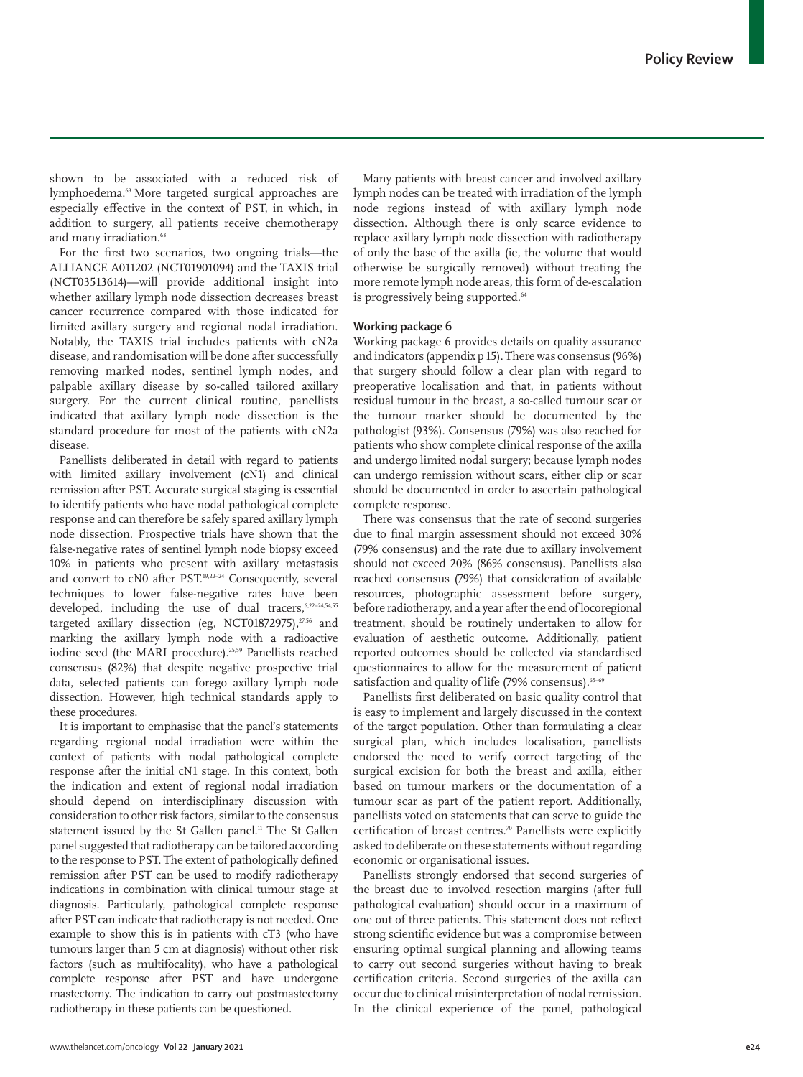shown to be associated with a reduced risk of lymphoedema.63 More targeted surgical approaches are especially effective in the context of PST, in which, in addition to surgery, all patients receive chemotherapy and many irradiation.<sup>63</sup>

For the first two scenarios, two ongoing trials—the ALLIANCE A011202 (NCT01901094) and the TAXIS trial (NCT03513614)—will provide additional insight into whether axillary lymph node dissection decreases breast cancer recurrence compared with those indicated for limited axillary surgery and regional nodal irradiation. Notably, the TAXIS trial includes patients with cN2a disease, and randomisation will be done after successfully removing marked nodes, sentinel lymph nodes, and palpable axillary disease by so-called tailored axillary surgery. For the current clinical routine, panellists indicated that axillary lymph node dissection is the standard procedure for most of the patients with cN2a disease.

Panellists deliberated in detail with regard to patients with limited axillary involvement (cN1) and clinical remission after PST. Accurate surgical staging is essential to identify patients who have nodal pathological complete response and can therefore be safely spared axillary lymph node dissection. Prospective trials have shown that the false-negative rates of sentinel lymph node biopsy exceed 10% in patients who present with axillary metastasis and convert to cN0 after PST.<sup>19,22-24</sup> Consequently, several techniques to lower false-negative rates have been developed, including the use of dual tracers,6,22–24,54,55 targeted axillary dissection (eg, NCT01872975),<sup>27,56</sup> and marking the axillary lymph node with a radioactive iodine seed (the MARI procedure).25,59 Panellists reached consensus (82%) that despite negative prospective trial data, selected patients can forego axillary lymph node dissection. However, high technical standards apply to these procedures.

It is important to emphasise that the panel's statements regarding regional nodal irradiation were within the context of patients with nodal pathological complete response after the initial cN1 stage. In this context, both the indication and extent of regional nodal irradiation should depend on interdisciplinary discussion with consideration to other risk factors, similar to the consensus statement issued by the St Gallen panel.<sup>11</sup> The St Gallen panel suggested that radiotherapy can be tailored according to the response to PST. The extent of pathologically defined remission after PST can be used to modify radiotherapy indications in combination with clinical tumour stage at diagnosis. Particularly, pathological complete response after PST can indicate that radiotherapy is not needed. One example to show this is in patients with cT3 (who have tumours larger than 5 cm at diagnosis) without other risk factors (such as multifocality), who have a pathological complete response after PST and have undergone mastectomy. The indication to carry out postmastectomy radiotherapy in these patients can be questioned.

Many patients with breast cancer and involved axillary lymph nodes can be treated with irradiation of the lymph node regions instead of with axillary lymph node dissection. Although there is only scarce evidence to replace axillary lymph node dissection with radiotherapy of only the base of the axilla (ie, the volume that would otherwise be surgically removed) without treating the more remote lymph node areas, this form of de-escalation is progressively being supported.<sup>64</sup>

#### **Working package 6**

Working package 6 provides details on quality assurance and indicators (appendix p 15). There was consensus (96%) that surgery should follow a clear plan with regard to preoperative localisation and that, in patients without residual tumour in the breast, a so-called tumour scar or the tumour marker should be documented by the pathologist (93%). Consensus (79%) was also reached for patients who show complete clinical response of the axilla and undergo limited nodal surgery; because lymph nodes can undergo remission without scars, either clip or scar should be documented in order to ascertain pathological complete response.

There was consensus that the rate of second surgeries due to final margin assessment should not exceed 30% (79% consensus) and the rate due to axillary involvement should not exceed 20% (86% consensus). Panellists also reached consensus (79%) that consideration of available resources, photographic assessment before surgery, before radiotherapy, and a year after the end of locoregional treatment, should be routinely undertaken to allow for evaluation of aesthetic outcome. Additionally, patient reported outcomes should be collected via standardised questionnaires to allow for the measurement of patient satisfaction and quality of life (79% consensus).<sup>65-69</sup>

Panellists first deliberated on basic quality control that is easy to implement and largely discussed in the context of the target population. Other than formulating a clear surgical plan, which includes localisation, panellists endorsed the need to verify correct targeting of the surgical excision for both the breast and axilla, either based on tumour markers or the documentation of a tumour scar as part of the patient report. Additionally, panellists voted on statements that can serve to guide the certification of breast centres.70 Panellists were explicitly asked to deliberate on these statements without regarding economic or organisational issues.

Panellists strongly endorsed that second surgeries of the breast due to involved resection margins (after full pathological evaluation) should occur in a maximum of one out of three patients. This statement does not reflect strong scientific evidence but was a compromise between ensuring optimal surgical planning and allowing teams to carry out second surgeries without having to break certification criteria. Second surgeries of the axilla can occur due to clinical misinterpretation of nodal remission. In the clinical experience of the panel, pathological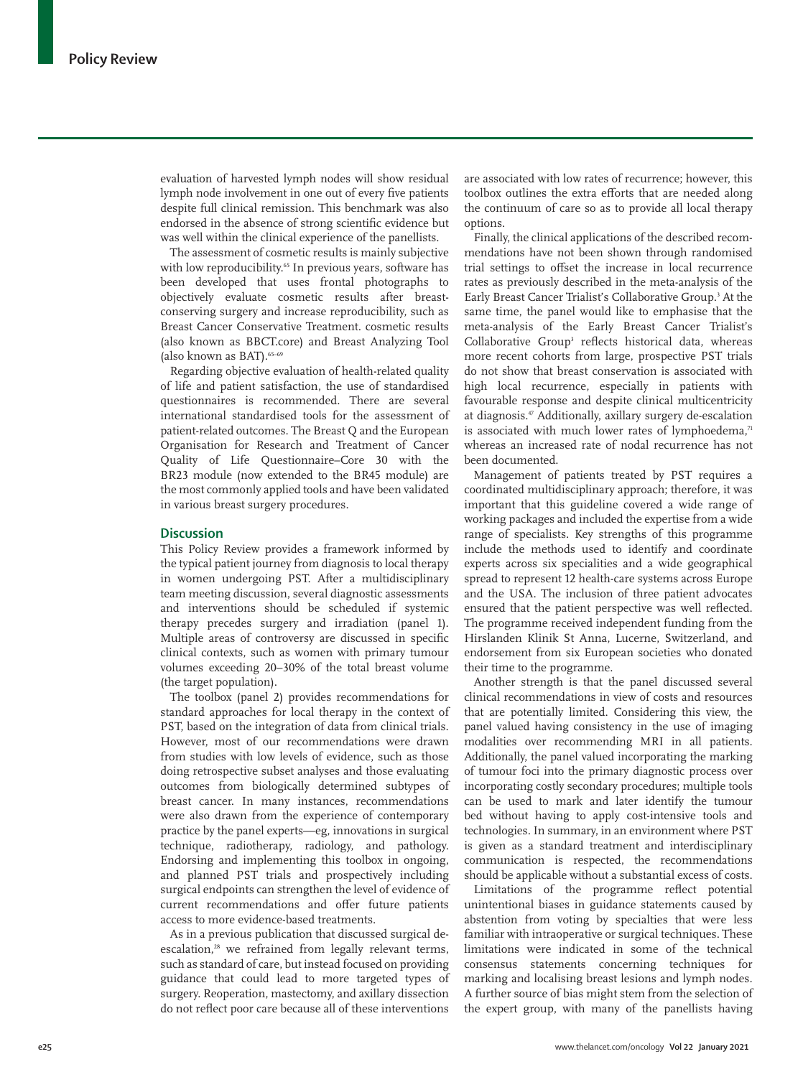evaluation of harvested lymph nodes will show residual lymph node involvement in one out of every five patients despite full clinical remission. This benchmark was also endorsed in the absence of strong scientific evidence but was well within the clinical experience of the panellists.

The assessment of cosmetic results is mainly subjective with low reproducibility.<sup>65</sup> In previous years, software has been developed that uses frontal photographs to objectively evaluate cosmetic results after breastconserving surgery and increase reproducibility, such as Breast Cancer Conservative Treatment. cosmetic results (also known as BBCT.core) and Breast Analyzing Tool (also known as BAT).65–69

Regarding objective evaluation of health-related quality of life and patient satisfaction, the use of standardised questionnaires is recommended. There are several international standardised tools for the assessment of patient-related outcomes. The Breast Q and the European Organisation for Research and Treatment of Cancer Quality of Life Questionnaire–Core 30 with the BR23 module (now extended to the BR45 module) are the most commonly applied tools and have been validated in various breast surgery procedures.

## **Discussion**

This Policy Review provides a framework informed by the typical patient journey from diagnosis to local therapy in women undergoing PST. After a multidisciplinary team meeting discussion, several diagnostic assessments and interventions should be scheduled if systemic therapy precedes surgery and irradiation (panel 1). Multiple areas of controversy are discussed in specific clinical contexts, such as women with primary tumour volumes exceeding 20–30% of the total breast volume (the target population).

The toolbox (panel 2) provides recommendations for standard approaches for local therapy in the context of PST, based on the integration of data from clinical trials. However, most of our recommendations were drawn from studies with low levels of evidence, such as those doing retrospective subset analyses and those evaluating outcomes from biologically determined subtypes of breast cancer. In many instances, recommendations were also drawn from the experience of contemporary practice by the panel experts—eg, innovations in surgical technique, radiotherapy, radiology, and pathology. Endorsing and implementing this toolbox in ongoing, and planned PST trials and prospectively including surgical endpoints can strengthen the level of evidence of current recommendations and offer future patients access to more evidence-based treatments.

As in a previous publication that discussed surgical deescalation,<sup>28</sup> we refrained from legally relevant terms, such as standard of care, but instead focused on providing guidance that could lead to more targeted types of surgery. Reoperation, mastectomy, and axillary dissection do not reflect poor care because all of these interventions are associated with low rates of recurrence; however, this toolbox outlines the extra efforts that are needed along the continuum of care so as to provide all local therapy options.

Finally, the clinical applications of the described recommendations have not been shown through randomised trial settings to offset the increase in local recurrence rates as previously described in the meta-analysis of the Early Breast Cancer Trialist's Collaborative Group.<sup>3</sup> At the same time, the panel would like to emphasise that the meta-analysis of the Early Breast Cancer Trialist's Collaborative Group<sup>3</sup> reflects historical data, whereas more recent cohorts from large, prospective PST trials do not show that breast conservation is associated with high local recurrence, especially in patients with favourable response and despite clinical multicentricity at diagnosis.47 Additionally, axillary surgery de-escalation is associated with much lower rates of lymphoedema, $71$ whereas an increased rate of nodal recurrence has not been documented.

Management of patients treated by PST requires a coordinated multidisciplinary approach; therefore, it was important that this guideline covered a wide range of working packages and included the expertise from a wide range of specialists. Key strengths of this programme include the methods used to identify and coordinate experts across six specialities and a wide geographical spread to represent 12 health-care systems across Europe and the USA. The inclusion of three patient advocates ensured that the patient perspective was well reflected. The programme received independent funding from the Hirslanden Klinik St Anna, Lucerne, Switzerland, and endorsement from six European societies who donated their time to the programme.

Another strength is that the panel discussed several clinical recommendations in view of costs and resources that are potentially limited. Considering this view, the panel valued having consistency in the use of imaging modalities over recommending MRI in all patients. Additionally, the panel valued incorporating the marking of tumour foci into the primary diagnostic process over incorporating costly secondary procedures; multiple tools can be used to mark and later identify the tumour bed without having to apply cost-intensive tools and technologies. In summary, in an environment where PST is given as a standard treatment and interdisciplinary communication is respected, the recommendations should be applicable without a substantial excess of costs.

Limitations of the programme reflect potential unintentional biases in guidance statements caused by abstention from voting by specialties that were less familiar with intraoperative or surgical techniques. These limitations were indicated in some of the technical consensus statements concerning techniques for marking and localising breast lesions and lymph nodes. A further source of bias might stem from the selection of the expert group, with many of the panellists having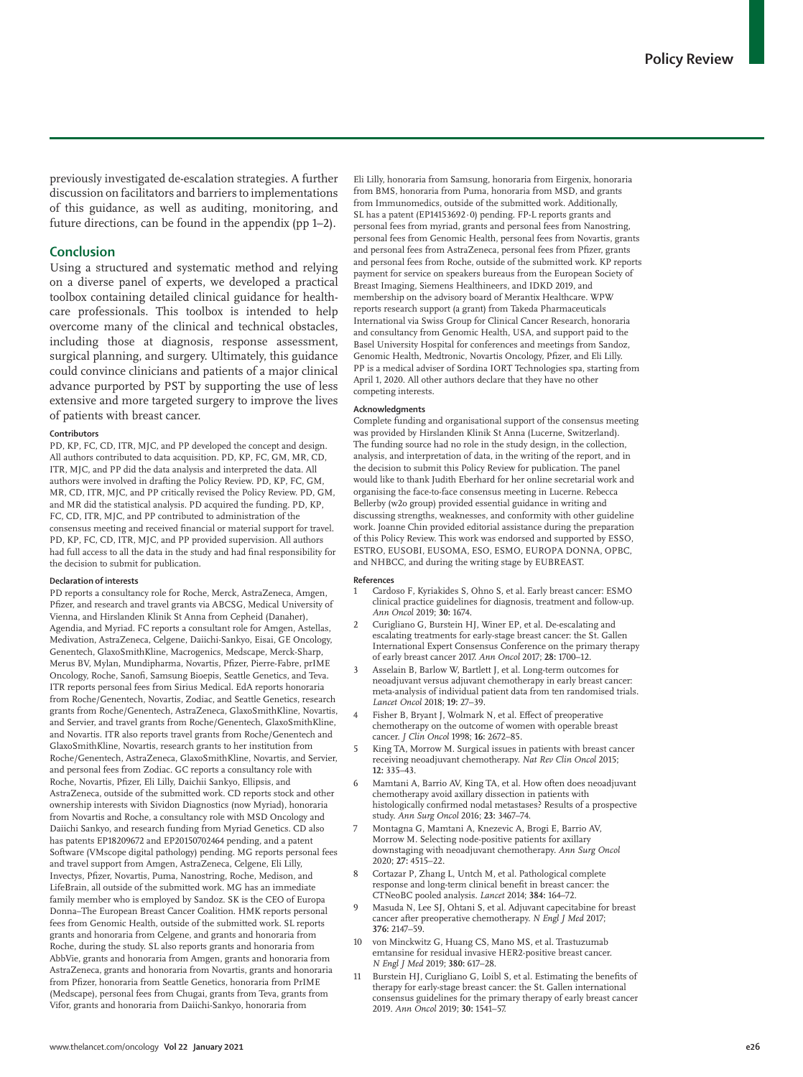previously investigated de-escalation strategies. A further discussion on facilitators and barriers to implementations of this guidance, as well as auditing, monitoring, and future directions, can be found in the appendix (pp 1–2).

#### **Conclusion**

Using a structured and systematic method and relying on a diverse panel of experts, we developed a practical toolbox containing detailed clinical guidance for healthcare professionals. This toolbox is intended to help overcome many of the clinical and technical obstacles, including those at diagnosis, response assessment, surgical planning, and surgery. Ultimately, this guidance could convince clinicians and patients of a major clinical advance purported by PST by supporting the use of less extensive and more targeted surgery to improve the lives of patients with breast cancer.

#### **Contributors**

PD, KP, FC, CD, ITR, MJC, and PP developed the concept and design. All authors contributed to data acquisition. PD, KP, FC, GM, MR, CD, ITR, MJC, and PP did the data analysis and interpreted the data. All authors were involved in drafting the Policy Review. PD, KP, FC, GM, MR, CD, ITR, MJC, and PP critically revised the Policy Review. PD, GM, and MR did the statistical analysis. PD acquired the funding. PD, KP, FC, CD, ITR, MJC, and PP contributed to administration of the consensus meeting and received financial or material support for travel. PD, KP, FC, CD, ITR, MJC, and PP provided supervision. All authors had full access to all the data in the study and had final responsibility for the decision to submit for publication.

#### **Declaration of interests**

PD reports a consultancy role for Roche, Merck, AstraZeneca, Amgen, Pfizer, and research and travel grants via ABCSG, Medical University of Vienna, and Hirslanden Klinik St Anna from Cepheid (Danaher), Agendia, and Myriad. FC reports a consultant role for Amgen, Astellas, Medivation, AstraZeneca, Celgene, Daiichi-Sankyo, Eisai, GE Oncology, Genentech, GlaxoSmithKline, Macrogenics, Medscape, Merck-Sharp, Merus BV, Mylan, Mundipharma, Novartis, Pfizer, Pierre-Fabre, prIME Oncology, Roche, Sanofi, Samsung Bioepis, Seattle Genetics, and Teva. ITR reports personal fees from Sirius Medical. EdA reports honoraria from Roche/Genentech, Novartis, Zodiac, and Seattle Genetics, research grants from Roche/Genentech, AstraZeneca, GlaxoSmithKline, Novartis, and Servier, and travel grants from Roche/Genentech, GlaxoSmithKline, and Novartis. ITR also reports travel grants from Roche/Genentech and GlaxoSmithKline, Novartis, research grants to her institution from Roche/Genentech, AstraZeneca, GlaxoSmithKline, Novartis, and Servier, and personal fees from Zodiac. GC reports a consultancy role with Roche, Novartis, Pfizer, Eli Lilly, Daichii Sankyo, Ellipsis, and AstraZeneca, outside of the submitted work. CD reports stock and other ownership interests with Sividon Diagnostics (now Myriad), honoraria from Novartis and Roche, a consultancy role with MSD Oncology and Daiichi Sankyo, and research funding from Myriad Genetics. CD also has patents EP18209672 and EP20150702464 pending, and a patent Software (VMscope digital pathology) pending. MG reports personal fees and travel support from Amgen, AstraZeneca, Celgene, Eli Lilly, Invectys, Pfizer, Novartis, Puma, Nanostring, Roche, Medison, and LifeBrain, all outside of the submitted work. MG has an immediate family member who is employed by Sandoz. SK is the CEO of Europa Donna–The European Breast Cancer Coalition. HMK reports personal fees from Genomic Health, outside of the submitted work. SL reports grants and honoraria from Celgene, and grants and honoraria from Roche, during the study. SL also reports grants and honoraria from AbbVie, grants and honoraria from Amgen, grants and honoraria from AstraZeneca, grants and honoraria from Novartis, grants and honoraria from Pfizer, honoraria from Seattle Genetics, honoraria from PrIME (Medscape), personal fees from Chugai, grants from Teva, grants from Vifor, grants and honoraria from Daiichi-Sankyo, honoraria from

Eli Lilly, honoraria from Samsung, honoraria from Eirgenix, honoraria from BMS, honoraria from Puma, honoraria from MSD, and grants from Immunomedics, outside of the submitted work. Additionally, SL has a patent (EP14153692·0) pending. FP-L reports grants and personal fees from myriad, grants and personal fees from Nanostring, personal fees from Genomic Health, personal fees from Novartis, grants and personal fees from AstraZeneca, personal fees from Pfizer, grants and personal fees from Roche, outside of the submitted work. KP reports payment for service on speakers bureaus from the European Society of Breast Imaging, Siemens Healthineers, and IDKD 2019, and membership on the advisory board of Merantix Healthcare. WPW reports research support (a grant) from Takeda Pharmaceuticals International via Swiss Group for Clinical Cancer Research, honoraria and consultancy from Genomic Health, USA, and support paid to the Basel University Hospital for conferences and meetings from Sandoz, Genomic Health, Medtronic, Novartis Oncology, Pfizer, and Eli Lilly. PP is a medical adviser of Sordina IORT Technologies spa, starting from April 1, 2020. All other authors declare that they have no other competing interests.

#### **Acknowledgments**

Complete funding and organisational support of the consensus meeting was provided by Hirslanden Klinik St Anna (Lucerne, Switzerland). The funding source had no role in the study design, in the collection, analysis, and interpretation of data, in the writing of the report, and in the decision to submit this Policy Review for publication. The panel would like to thank Judith Eberhard for her online secretarial work and organising the face-to-face consensus meeting in Lucerne. Rebecca Bellerby (w2o group) provided essential guidance in writing and discussing strengths, weaknesses, and conformity with other guideline work. Joanne Chin provided editorial assistance during the preparation of this Policy Review. This work was endorsed and supported by ESSO, ESTRO, EUSOBI, EUSOMA, ESO, ESMO, EUROPA DONNA, OPBC, and NHBCC, and during the writing stage by EUBREAST.

#### **References**

- 1 Cardoso F, Kyriakides S, Ohno S, et al. Early breast cancer: ESMO clinical practice guidelines for diagnosis, treatment and follow-up. *Ann Oncol* 2019; **30:** 1674.
- 2 Curigliano G, Burstein HJ, Winer EP, et al. De-escalating and escalating treatments for early-stage breast cancer: the St. Gallen International Expert Consensus Conference on the primary therapy of early breast cancer 2017. *Ann Oncol* 2017; **28:** 1700–12.
- Asselain B, Barlow W, Bartlett J, et al. Long-term outcomes for neoadjuvant versus adjuvant chemotherapy in early breast cancer: meta-analysis of individual patient data from ten randomised trials. *Lancet Oncol* 2018; **19:** 27–39.
- 4 Fisher B, Bryant J, Wolmark N, et al. Effect of preoperative chemotherapy on the outcome of women with operable breast cancer. *J Clin Oncol* 1998; **16:** 2672–85.
- King TA, Morrow M. Surgical issues in patients with breast cancer receiving neoadjuvant chemotherapy. *Nat Rev Clin Oncol* 2015; **12:** 335–43.
- 6 Mamtani A, Barrio AV, King TA, et al. How often does neoadjuvant chemotherapy avoid axillary dissection in patients with histologically confirmed nodal metastases? Results of a prospective study. *Ann Surg Oncol* 2016; **23:** 3467–74.
- 7 Montagna G, Mamtani A, Knezevic A, Brogi E, Barrio AV, Morrow M. Selecting node-positive patients for axillary downstaging with neoadjuvant chemotherapy. *Ann Surg Oncol* 2020; **27:** 4515–22.
- 8 Cortazar P, Zhang L, Untch M, et al. Pathological complete response and long-term clinical benefit in breast cancer: the CTNeoBC pooled analysis. *Lancet* 2014; **384:** 164–72.
- 9 Masuda N, Lee SJ, Ohtani S, et al. Adjuvant capecitabine for breast cancer after preoperative chemotherapy. *N Engl J Med* 2017; **376:** 2147–59.
- 10 von Minckwitz G, Huang CS, Mano MS, et al. Trastuzumab emtansine for residual invasive HER2-positive breast cancer. *N Engl J Med* 2019; **380:** 617–28.
- 11 Burstein HJ, Curigliano G, Loibl S, et al. Estimating the benefits of therapy for early-stage breast cancer: the St. Gallen international consensus guidelines for the primary therapy of early breast cancer 2019. *Ann Oncol* 2019; **30:** 1541–57.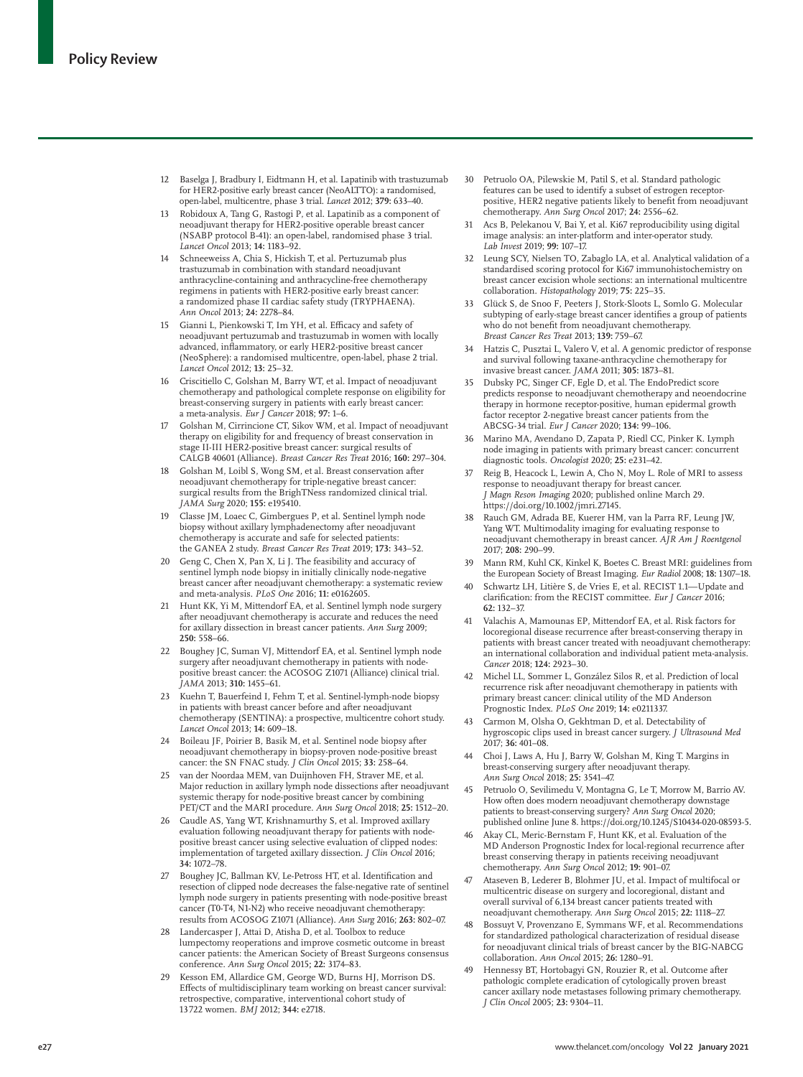- 12 Baselga J, Bradbury I, Eidtmann H, et al. Lapatinib with trastuzumab for HER2-positive early breast cancer (NeoALTTO): a randomised, open-label, multicentre, phase 3 trial. *Lancet* 2012; **379:** 633–40.
- 13 Robidoux A, Tang G, Rastogi P, et al. Lapatinib as a component of neoadjuvant therapy for HER2-positive operable breast cancer (NSABP protocol B-41): an open-label, randomised phase 3 trial. *Lancet Oncol* 2013; **14:** 1183–92.
- Schneeweiss A, Chia S, Hickish T, et al. Pertuzumab plus trastuzumab in combination with standard neoadjuvant anthracycline-containing and anthracycline-free chemotherapy regimens in patients with HER2-positive early breast cancer: a randomized phase II cardiac safety study (TRYPHAENA). *Ann Oncol* 2013; **24:** 2278–84.
- 15 Gianni L, Pienkowski T, Im YH, et al. Efficacy and safety of neoadjuvant pertuzumab and trastuzumab in women with locally advanced, inflammatory, or early HER2-positive breast cancer (NeoSphere): a randomised multicentre, open-label, phase 2 trial. *Lancet Oncol* 2012; **13:** 25–32.
- 16 Criscitiello C, Golshan M, Barry WT, et al. Impact of neoadjuvant chemotherapy and pathological complete response on eligibility for breast-conserving surgery in patients with early breast cancer: a meta-analysis. *Eur J Cancer* 2018; **97:** 1–6.
- 17 Golshan M, Cirrincione CT, Sikov WM, et al. Impact of neoadjuvant therapy on eligibility for and frequency of breast conservation in stage II-III HER2-positive breast cancer: surgical results of CALGB 40601 (Alliance). *Breast Cancer Res Treat* 2016; **160:** 297–304.
- 18 Golshan M, Loibl S, Wong SM, et al. Breast conservation after neoadjuvant chemotherapy for triple-negative breast cancer: surgical results from the BrighTNess randomized clinical trial. *JAMA Surg* 2020; **155:** e195410.
- 19 Classe JM, Loaec C, Gimbergues P, et al. Sentinel lymph node biopsy without axillary lymphadenectomy after neoadjuvant chemotherapy is accurate and safe for selected patients: the GANEA 2 study. *Breast Cancer Res Treat* 2019; **173:** 343–52.
- 20 Geng C, Chen X, Pan X, Li J. The feasibility and accuracy of sentinel lymph node biopsy in initially clinically node-negative breast cancer after neoadjuvant chemotherapy: a systematic review and meta-analysis. *PLoS One* 2016; **11:** e0162605.
- 21 Hunt KK, Yi M, Mittendorf EA, et al. Sentinel lymph node surgery after neoadjuvant chemotherapy is accurate and reduces the need for axillary dissection in breast cancer patients. *Ann Surg* 2009; **250:** 558–66.
- 22 Boughey JC, Suman VJ, Mittendorf EA, et al. Sentinel lymph node surgery after neoadjuvant chemotherapy in patients with nodepositive breast cancer: the ACOSOG Z1071 (Alliance) clinical trial. *JAMA* 2013; **310:** 1455–61.
- 23 Kuehn T, Bauerfeind I, Fehm T, et al. Sentinel-lymph-node biopsy in patients with breast cancer before and after neoadjuvant chemotherapy (SENTINA): a prospective, multicentre cohort study. *Lancet Oncol* 2013; **14:** 609–18.
- 24 Boileau JF, Poirier B, Basik M, et al. Sentinel node biopsy after neoadjuvant chemotherapy in biopsy-proven node-positive breast cancer: the SN FNAC study. *J Clin Oncol* 2015; **33:** 258–64.
- 25 van der Noordaa MEM, van Duijnhoven FH, Straver ME, et al. Major reduction in axillary lymph node dissections after neoadjuvant systemic therapy for node-positive breast cancer by combining PET/CT and the MARI procedure. *Ann Surg Oncol* 2018; **25:** 1512–20.
- 26 Caudle AS, Yang WT, Krishnamurthy S, et al. Improved axillary evaluation following neoadjuvant therapy for patients with nodepositive breast cancer using selective evaluation of clipped nodes: implementation of targeted axillary dissection. *J Clin Oncol* 2016; **34:** 1072–78.
- 27 Boughey JC, Ballman KV, Le-Petross HT, et al. Identification and resection of clipped node decreases the false-negative rate of sentinel lymph node surgery in patients presenting with node-positive breast cancer (T0-T4, N1-N2) who receive neoadjuvant chemotherapy: results from ACOSOG Z1071 (Alliance). *Ann Surg* 2016; **263:** 802–07.
- Landercasper J, Attai D, Atisha D, et al. Toolbox to reduce lumpectomy reoperations and improve cosmetic outcome in breast cancer patients: the American Society of Breast Surgeons consensus conference. *Ann Surg Oncol* 2015**; 22:** 3174–83.
- 29 Kesson EM, Allardice GM, George WD, Burns HJ, Morrison DS. Effects of multidisciplinary team working on breast cancer survival: retrospective, comparative, interventional cohort study of 13722 women. *BMJ* 2012; **344:** e2718.
- 30 Petruolo OA, Pilewskie M, Patil S, et al. Standard pathologic features can be used to identify a subset of estrogen receptorpositive, HER2 negative patients likely to benefit from neoadjuvant chemotherapy. *Ann Surg Oncol* 2017; **24:** 2556–62.
- 31 Acs B, Pelekanou V, Bai Y, et al. Ki67 reproducibility using digital image analysis: an inter-platform and inter-operator study. *Lab Invest* 2019; **99:** 107–17.
- 32 Leung SCY, Nielsen TO, Zabaglo LA, et al. Analytical validation of a standardised scoring protocol for Ki67 immunohistochemistry on breast cancer excision whole sections: an international multicentre collaboration. *Histopathology* 2019; **75:** 225–35.
- 33 Glück S, de Snoo F, Peeters J, Stork-Sloots L, Somlo G. Molecular subtyping of early-stage breast cancer identifies a group of patients who do not benefit from neoadjuvant chemotherapy. *Breast Cancer Res Treat* 2013; **139:** 759–67.
- Hatzis C, Pusztai L, Valero V, et al. A genomic predictor of response and survival following taxane-anthracycline chemotherapy for invasive breast cancer. *JAMA* 2011; **305:** 1873–81.
- 35 Dubsky PC, Singer CF, Egle D, et al. The EndoPredict score predicts response to neoadjuvant chemotherapy and neoendocrine therapy in hormone receptor-positive, human epidermal growth factor receptor 2-negative breast cancer patients from the ABCSG-34 trial. *Eur J Cancer* 2020; **134:** 99–106.
- 36 Marino MA, Avendano D, Zapata P, Riedl CC, Pinker K. Lymph node imaging in patients with primary breast cancer: concurrent diagnostic tools. *Oncologist* 2020; **25:** e231–42.
- Reig B, Heacock L, Lewin A, Cho N, Moy L. Role of MRI to assess response to neoadjuvant therapy for breast cancer. *J Magn Reson Imaging* 2020; published online March 29. <https://doi.org/10.1002/jmri.27145>.
- 38 Rauch GM, Adrada BE, Kuerer HM, van la Parra RF, Leung JW, Yang WT. Multimodality imaging for evaluating response to neoadjuvant chemotherapy in breast cancer. *AJR Am J Roentgenol* 2017; **208:** 290–99.
- 39 Mann RM, Kuhl CK, Kinkel K, Boetes C. Breast MRI: guidelines from the European Society of Breast Imaging. *Eur Radiol* 2008; **18:** 1307–18.
- 40 Schwartz LH, Litière S, de Vries E, et al. RECIST 1.1—Update and clarification: from the RECIST committee. *Eur J Cancer* 2016; **62:** 132–37.
- 41 Valachis A, Mamounas EP, Mittendorf EA, et al. Risk factors for locoregional disease recurrence after breast-conserving therapy in patients with breast cancer treated with neoadjuvant chemotherapy: an international collaboration and individual patient meta-analysis. *Cancer* 2018; **124:** 2923–30.
- 42 Michel LL, Sommer L, González Silos R, et al. Prediction of local recurrence risk after neoadjuvant chemotherapy in patients with primary breast cancer: clinical utility of the MD Anderson Prognostic Index. *PLoS One* 2019; **14:** e0211337.
- Carmon M, Olsha O, Gekhtman D, et al. Detectability of hygroscopic clips used in breast cancer surgery. *J Ultrasound Med* 2017; **36:** 401–08.
- 44 Choi J, Laws A, Hu J, Barry W, Golshan M, King T. Margins in breast-conserving surgery after neoadjuvant therapy. *Ann Surg Oncol* 2018; **25:** 3541–47.
- 45 Petruolo O, Sevilimedu V, Montagna G, Le T, Morrow M, Barrio AV. How often does modern neoadjuvant chemotherapy downstage patients to breast-conserving surgery? *Ann Surg Oncol* 2020; published online June 8. [https://doi.org/10.1245/S10434-020-08593-5.](https://doi.org/10.1245/s10434-020-08593-5)
- 46 Akay CL, Meric-Bernstam F, Hunt KK, et al. Evaluation of the MD Anderson Prognostic Index for local-regional recurrence after breast conserving therapy in patients receiving neoadjuvant chemotherapy. *Ann Surg Oncol* 2012; **19:** 901–07.
- Ataseven B, Lederer B, Blohmer JU, et al. Impact of multifocal or multicentric disease on surgery and locoregional, distant and overall survival of 6,134 breast cancer patients treated with neoadjuvant chemotherapy. *Ann Surg Oncol* 2015; **22:** 1118–27.
- 48 Bossuyt V, Provenzano E, Symmans WF, et al. Recommendations for standardized pathological characterization of residual disease for neoadjuvant clinical trials of breast cancer by the BIG-NABCG collaboration. *Ann Oncol* 2015; **26:** 1280–91.
- 49 Hennessy BT, Hortobagyi GN, Rouzier R, et al. Outcome after pathologic complete eradication of cytologically proven breast cancer axillary node metastases following primary chemotherapy. *J Clin Oncol* 2005; **23:** 9304–11.